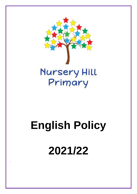

# **English Policy 2021/22**

*'*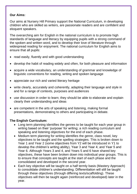#### **Our Aims:**

Our aims at Nursery Hill Primary support the National Curriculum, in developing children who are skilled as writers, are passionate readers and are confident and eloquent speakers.

The overarching aim for English in the national curriculum is to promote high standards of language and literacy by equipping pupils with a strong command of the spoken and written word, and to develop their love of literature through widespread reading for enjoyment. The national curriculum for English aims to ensure that all pupils:

- read easily, fluently and with good understanding
- develop the habit of reading widely and often, for both pleasure and information
- acquire a wide vocabulary, an understanding of grammar and knowledge of linguistic conventions for reading, writing and spoken language
- appreciate our rich and varied literary heritage
- write clearly, accurately and coherently, adapting their language and style in and for a range of contexts, purposes and audiences
- use discussion in order to learn; they should be able to elaborate and explain clearly their understanding and ideas
- are competent in the arts of speaking and listening, making formal presentations, demonstrating to others and participating in debate.

### **The English Curriculum:**

- Long term planning identifies the genres to be taught for each year group in writing based on their 'purpose' for writing; a rich reading curriculum and speaking and listening objectives for the end of each phase.
- Medium term planning for writing identifies the genre, class novel, key objectives to be taught and the spelling strategies. This is broken down to Year 1 and Year 2 (some objectives from Y2 will be introduced in Y1 to develop the children's writing ability), Year 3 and Year 4; and Year 5 and Year 6. Although Years 3 and 4, and Years 5 and 6 have shared key objectives, these have been broken down into individual year groups. This is to ensure that concepts are taught at the start of each phase and the consolidated and developed in the second year.
- Each key objective will be taught on a half termly basis (Mastery Approach) to consolidate children's understanding. Differentiation will still be taught through these objectives (through differing texts/scaffolding). These objectives will then be taught again (reinforced and developed) later in the year.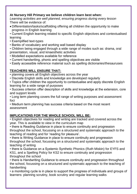#### **At Nursery Hill Primary we believe children learn best when:**

*Learning activities are well planned, ensuring progress during every lesson* There will be evidence of:

- Differentiation/tasks/scaffolding offering all children the opportunity to make progress in English learning
- Current English learning related to specific English objectives and contextualised learning
- Exemplified text-types
- Banks of vocabulary and working wall based display
- Children being engaged through a wide range of modes such as: drama, oral presentation, visual, and kinaesthetic activities
- Modelled expectations available for reference
- Current handwriting, phonic and spelling objectives are visible
- Easily accessible reference material such as spelling dictionaries/thesauruses

## **TEACHERS WILL ENSURE THAT:**

- planning covers all English objectives across the year
- Discrete English skills and knowledge are developed regularly
- Topics offer children the opportunity to contextualise and apply discrete English learning for a wide range of purposes
- Success criterion offer description of skills and knowledge at the extension, core and support levels
- Long term planning covers the full range of writing purposes and assessment foci
- Medium term planning has success criteria based on the most recent assessment

## **IMPLICATIONS FOR THE WHOLE SCHOOL WILL BE:**

• English objectives for reading and writing are tracked and covered across the year. This is available to view in the curriculum map

• there is Reading Guidance in place to ensure continuity and progression throughout the school, focussing on a structured and systematic approach to the teaching of reading and for 'reading for pleasure'.

• there is Writing Guidance in place to ensure continuity and progression throughout the school, focussing on a structured and systematic approach to the teaching of writing

• there is Guidance on a Systemic Synthetic Phonics (Ruth Miskin) for EYFS and KS1, and a Spelling Policy for KS2 to ensure continuity and progression throughout the school

• there is Handwriting Guidance to ensure continuity and progression throughout the school, focussing on a structured and systematic approach to the teaching of handwriting

• a monitoring cycle is in place to support the progress of individuals and groups of learners: planning scrutiny, book scrutiny and regular learning walks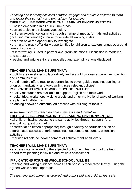*Teaching and learning activities enthuse, engage and motivate children to learn, and foster their curiosity and enthusiasm for learning*

# **THERE WILL BE EVIDENCE IN THE LEARNING ENVIRONMENT OF:**

- English embedded in all curriculum areas
- current topics and relevant vocabulary
- children experience learning through a range of media, formats and activities (including multi-modal) in order to include all learning styles
- children have the opportunity to investigate

• drama and oracy offer daily opportunities for children to explore language around relevant concepts

- talk for writing is used in partner and group situations. Discussion is modelled and structured
- reading and writing skills are modelled and exemplifications displayed

## **TEACHERS WILL MAKE SURE THAT:**

• toolkits are developed collaboratively and scaffold process approaches to writing and communication

• the timetable offers regular opportunities to cover guided reading, spelling or phonics, handwriting and topic writing (see relevant policies).

## **IMPLICATIONS FOR THE WHOLE SCHOOL WILL BE:**

• quality resources are available to support English and topic work

• hooks, trips, workshops, visiting artists and other motivational ways of working are planned half-termly

• planning shows an outcome led process with building of toolkits.

#### *Assessment informs teaching both summative and formative* **THERE WILL BE EVIDENCE IN THE LEARNING ENVIRONMENT OF:**

• all children having access to the same activities through support (e.g. scaffolding, questioning etc)

• differentiation (when appropriate) through a variety opportunities such as: differentiated success criteria, groupings, outcomes, resources, extension activities

• marking reflects acknowledgement of achievement at all levels

# **TEACHERS WILL MAKE SURE THAT:**

- success criteria related to the expected outcome in learning, not the task
- short term planning is flexible and reflects assessment

# **IMPLICATIONS FOR THE WHOLE SCHOOL WILL BE:**

• reading and writing evidence across each phase is moderated termly, using the agreed whole school approach

*The learning environment is ordered and purposeful and children feel safe*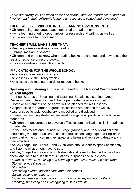*There are strong links between home and school, and the importance of parental involvement in their children's learning is recognised, valued and developed*

## **THERE WILL BE EVIDENCE IN THE LEARNING ENVIRONMENT OF:**

• Children being encouraged and supported to read at home.

• Home learning offering opportunities for research and writing, as well as discussion points for conversation.

## **TEACHER'S WILL MAKE SURE THAT:**

• Reading corners celebrate home reading.

- Library times are displayed.
- Children and parents know when reading books are changed and how to use the reading response or record books.
- displays celebrate research and writing.

## **IMPLICATIONS FOR THE WHOLE SCHOOL:**

- All classes have reading corners.
- All classes visit the library weekly.
- All classes use reading records or response books.

#### **Speaking and Listening and Drama- based on the National Curriculum End Of Year targets**

The Four Strands of Speaking and Listening: Speaking; Listening; Group Discussion and Interaction, and Drama permeate the whole curriculum.

- Some or all elements of the above will be planned for in all lessons.
- Opportunities for partner or group discussions are planned for weekly.
- Use of specific topic vocabulary is modelled and displayed.
- Interactive teaching strategies are used to engage all pupils in order to raise standards.

• Children are encouraged to develop effective communication skills in readiness for later life.

• In the Early Years and Foundation Stage (Nursery and Reception) children should be given opportunities to use communication, language and English in every part of the curriculum; they speak and listen and represent ideas orally in their activities.

• At Key Stage One (Years 1 and 2), children should learn to speak confidently and listen to what others have to say.

• At Key Stage Two (Years 3-6), children should learn to change the way they speak and write to suit different situations, purposes and audiences.

*Examples of where speaking and listening might occur within the classroom:*

· *Stories, songs & poems.*

· *Storytelling.*

- · *Describing events, observations and experiences.*
- · *Giving reasons for actions.*
- · *Explaining ideas and opinions in discussion and responding to others.*
- · *Planning, predicting and investigating in small groups.*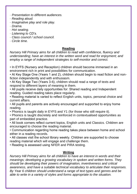- · *Presentation to different audiences.*
- · *Reading aloud.*
- · *Imaginative play and role play.*
- · *Drama.*
- · *Hot seating.*
- · *Listening to CD's.*
- · *Class council / school council.*
- · *Circle time.*

#### **Reading**

*Nursery Hill Primary aims for all children to read with confidence, fluency and understanding; have an interest in the written word and read for enjoyment; and employ a range of independent strategies to self-monitor and correct.*

• In EYFS (Nursery and Reception) children should become immersed in an environment rich in print and possibilities for communication.

• At Key Stage One (Years 1 and 2), children should begin to read fiction and nonfiction independently and with enthusiasm.

• At Key Stage Two (Years 3-6), children should read a range of texts and respond to different layers of meaning in them.

• All pupils receive daily opportunities for: Shared reading and Independent reading. Guided reading takes place regularly.

- Reading material is varied to reflect English units, topics, personal choice and current affairs.
- All pupils and parents are actively encouraged and supported to enjoy home reading.
- Phonics is taught daily in EYFS and Y1 (for those who still require it).
- Phonics is taught discretely and reinforced in contextualised opportunities as part of embedded practice.
- All book corners reflect current topics, English units and Classics. Children are encouraged to choose the reading material.

• Communication regarding home reading takes place between home and school either in a reading records.

• All classes visit the school library weekly. Children are supported to choose reading material which will engage and challenge them.

• Reading is assessed using NFER and PIRA testing.

#### **Writing**

*Nursery Hill Primary aims for all children to have an interest in words and their meanings; developing a growing vocabulary in spoken and written forms. They should be developing their powers of imagination, inventiveness and critical awareness, and have a suitable technical vocabulary to articulate their responses. By Year 6 children should understand a range of text types and genres and be able to write in a variety of styles and forms appropriate to the situation.*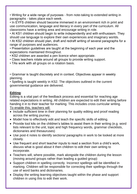• Writing for a wide range of purposes - from note-taking to extended writing in paragraphs - takes place each week.

• In EYFS children should become immersed in an environment rich in print and use communication, language and literacy in every part of the curriculum. All classrooms have a writing area and encourage writing in role.

• At KS1 children should begin to write independently and with enthusiasm. They should use language to explore their own experiences and imaginary worlds.

• At KS2 children should plan, draft and redraft writing of several paragraphs for a range of purposes and audiences.

• Presentation guidelines are taught at the beginning of each year and the expectations maintained throughout.

- KS2 children are awarded a pen licence when appropriate.
- Class teachers rotate around all groups to provide writing support.
- TAs work with all groups on a rotation basis.

• Grammar is taught discretely and in context. Objectives appear in weekly planning.

• Spelling is taught weekly in KS2. The objectives outlined in the current governmental guidance are delivered.

### **Editing**:

Editing is a vital part of the feedback process and essential for reaching age related expectations in writing. All children are expected to edit their writing before handing it in to their teacher for marking. This includes cross curricular writing. To enable this, teachers will:

- Include sufficient time in their planning for quality editing and proof reading across the writing journey.
- Model how to effectively edit and teach the specific skills of editing.
- Provide tool kits on the children's tables to assist them in their writing (e.g. word lists relevant to the unit, topic and high frequency words, grammar checklists, dictionaries and thesauruses)
- Use post-it notes to identify sections/ paragraphs in work to be looked at more closely.
- Use frequent and short teacher inputs to read a section from a child's work, discuss what is good about it then children to edit their own writing to incorporate.
- Teachers will, where possible, mark alongside the children during the lesson (moving around groups rather than leading a guided group)
- Support children in spelling correctly. Incorrect spellings will be identified in marking. Children will be responsible for correcting their spellings through the use of word banks and dictionaries.
- Display the writing learning objectives taught within the phase and support children in using this to edit their work.